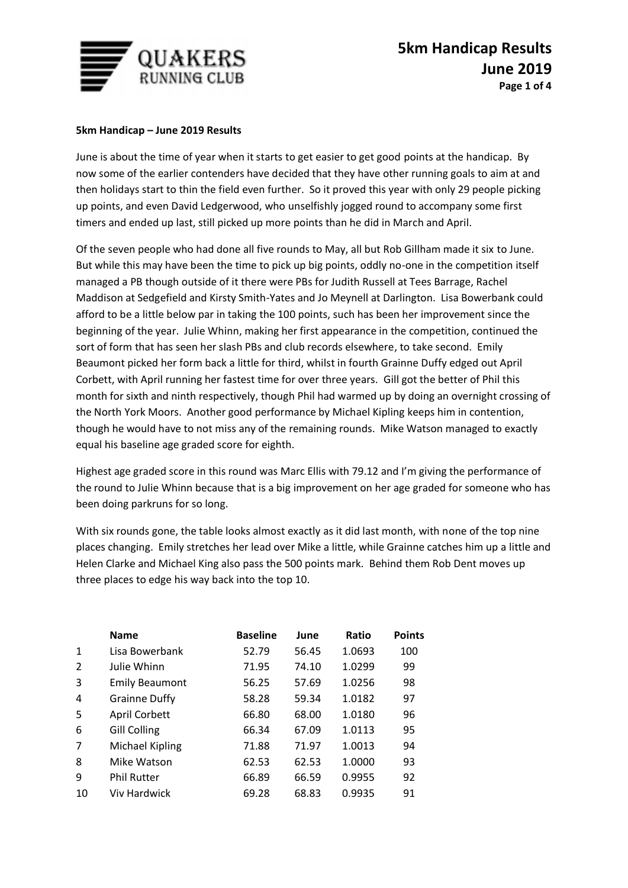

## **5km Handicap – June 2019 Results**

June is about the time of year when it starts to get easier to get good points at the handicap. By now some of the earlier contenders have decided that they have other running goals to aim at and then holidays start to thin the field even further. So it proved this year with only 29 people picking up points, and even David Ledgerwood, who unselfishly jogged round to accompany some first timers and ended up last, still picked up more points than he did in March and April.

Of the seven people who had done all five rounds to May, all but Rob Gillham made it six to June. But while this may have been the time to pick up big points, oddly no-one in the competition itself managed a PB though outside of it there were PBs for Judith Russell at Tees Barrage, Rachel Maddison at Sedgefield and Kirsty Smith-Yates and Jo Meynell at Darlington. Lisa Bowerbank could afford to be a little below par in taking the 100 points, such has been her improvement since the beginning of the year. Julie Whinn, making her first appearance in the competition, continued the sort of form that has seen her slash PBs and club records elsewhere, to take second. Emily Beaumont picked her form back a little for third, whilst in fourth Grainne Duffy edged out April Corbett, with April running her fastest time for over three years. Gill got the better of Phil this month for sixth and ninth respectively, though Phil had warmed up by doing an overnight crossing of the North York Moors. Another good performance by Michael Kipling keeps him in contention, though he would have to not miss any of the remaining rounds. Mike Watson managed to exactly equal his baseline age graded score for eighth.

Highest age graded score in this round was Marc Ellis with 79.12 and I'm giving the performance of the round to Julie Whinn because that is a big improvement on her age graded for someone who has been doing parkruns for so long.

With six rounds gone, the table looks almost exactly as it did last month, with none of the top nine places changing. Emily stretches her lead over Mike a little, while Grainne catches him up a little and Helen Clarke and Michael King also pass the 500 points mark. Behind them Rob Dent moves up three places to edge his way back into the top 10.

|              | <b>Name</b>            | <b>Baseline</b> | June  | Ratio  | <b>Points</b> |
|--------------|------------------------|-----------------|-------|--------|---------------|
| $\mathbf{1}$ | Lisa Bowerbank         | 52.79           | 56.45 | 1.0693 | 100           |
| 2            | Julie Whinn            | 71.95           | 74.10 | 1.0299 | 99            |
| 3            | <b>Emily Beaumont</b>  | 56.25           | 57.69 | 1.0256 | 98            |
| 4            | <b>Grainne Duffy</b>   | 58.28           | 59.34 | 1.0182 | 97            |
| 5            | April Corbett          | 66.80           | 68.00 | 1.0180 | 96            |
| 6            | <b>Gill Colling</b>    | 66.34           | 67.09 | 1.0113 | 95            |
| 7            | <b>Michael Kipling</b> | 71.88           | 71.97 | 1.0013 | 94            |
| 8            | Mike Watson            | 62.53           | 62.53 | 1.0000 | 93            |
| 9            | <b>Phil Rutter</b>     | 66.89           | 66.59 | 0.9955 | 92            |
| 10           | Viv Hardwick           | 69.28           | 68.83 | 0.9935 | 91            |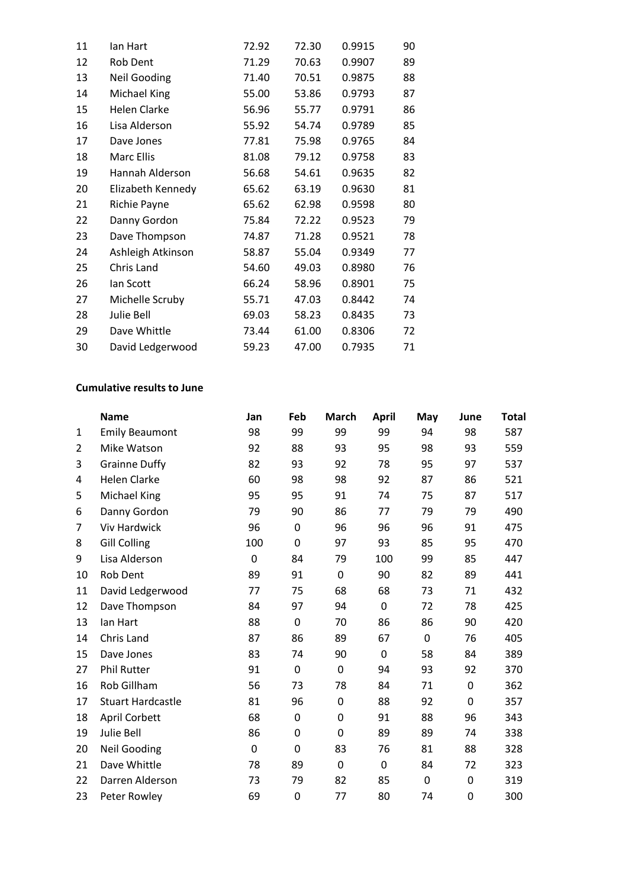| 11 | lan Hart            | 72.92 | 72.30 | 0.9915 | 90 |
|----|---------------------|-------|-------|--------|----|
| 12 | Rob Dent            | 71.29 | 70.63 | 0.9907 | 89 |
| 13 | <b>Neil Gooding</b> | 71.40 | 70.51 | 0.9875 | 88 |
| 14 | Michael King        | 55.00 | 53.86 | 0.9793 | 87 |
| 15 | <b>Helen Clarke</b> | 56.96 | 55.77 | 0.9791 | 86 |
| 16 | Lisa Alderson       | 55.92 | 54.74 | 0.9789 | 85 |
| 17 | Dave Jones          | 77.81 | 75.98 | 0.9765 | 84 |
| 18 | Marc Ellis          | 81.08 | 79.12 | 0.9758 | 83 |
| 19 | Hannah Alderson     | 56.68 | 54.61 | 0.9635 | 82 |
| 20 | Elizabeth Kennedy   | 65.62 | 63.19 | 0.9630 | 81 |
| 21 | Richie Payne        | 65.62 | 62.98 | 0.9598 | 80 |
| 22 | Danny Gordon        | 75.84 | 72.22 | 0.9523 | 79 |
| 23 | Dave Thompson       | 74.87 | 71.28 | 0.9521 | 78 |
| 24 | Ashleigh Atkinson   | 58.87 | 55.04 | 0.9349 | 77 |
| 25 | Chris Land          | 54.60 | 49.03 | 0.8980 | 76 |
| 26 | lan Scott           | 66.24 | 58.96 | 0.8901 | 75 |
| 27 | Michelle Scruby     | 55.71 | 47.03 | 0.8442 | 74 |
| 28 | Julie Bell          | 69.03 | 58.23 | 0.8435 | 73 |
| 29 | Dave Whittle        | 73.44 | 61.00 | 0.8306 | 72 |
| 30 | David Ledgerwood    | 59.23 | 47.00 | 0.7935 | 71 |

## **Cumulative results to June**

|                | <b>Name</b>              | Jan         | Feb         | <b>March</b> | <b>April</b> | May       | June | <b>Total</b> |
|----------------|--------------------------|-------------|-------------|--------------|--------------|-----------|------|--------------|
| $\mathbf{1}$   | <b>Emily Beaumont</b>    | 98          | 99          | 99           | 99           | 94        | 98   | 587          |
| $\overline{2}$ | Mike Watson              | 92          | 88          | 93           | 95           | 98        | 93   | 559          |
| 3              | <b>Grainne Duffy</b>     | 82          | 93          | 92           | 78           | 95        | 97   | 537          |
| 4              | Helen Clarke             | 60          | 98          | 98           | 92           | 87        | 86   | 521          |
| 5              | Michael King             | 95          | 95          | 91           | 74           | 75        | 87   | 517          |
| 6              | Danny Gordon             | 79          | 90          | 86           | 77           | 79        | 79   | 490          |
| 7              | <b>Viv Hardwick</b>      | 96          | 0           | 96           | 96           | 96        | 91   | 475          |
| 8              | <b>Gill Colling</b>      | 100         | 0           | 97           | 93           | 85        | 95   | 470          |
| 9              | Lisa Alderson            | $\mathbf 0$ | 84          | 79           | 100          | 99        | 85   | 447          |
| 10             | Rob Dent                 | 89          | 91          | 0            | 90           | 82        | 89   | 441          |
| 11             | David Ledgerwood         | 77          | 75          | 68           | 68           | 73        | 71   | 432          |
| 12             | Dave Thompson            | 84          | 97          | 94           | 0            | 72        | 78   | 425          |
| 13             | lan Hart                 | 88          | $\mathbf 0$ | 70           | 86           | 86        | 90   | 420          |
| 14             | Chris Land               | 87          | 86          | 89           | 67           | $\pmb{0}$ | 76   | 405          |
| 15             | Dave Jones               | 83          | 74          | 90           | $\mathbf 0$  | 58        | 84   | 389          |
| 27             | <b>Phil Rutter</b>       | 91          | $\mathbf 0$ | 0            | 94           | 93        | 92   | 370          |
| 16             | Rob Gillham              | 56          | 73          | 78           | 84           | 71        | 0    | 362          |
| 17             | <b>Stuart Hardcastle</b> | 81          | 96          | 0            | 88           | 92        | 0    | 357          |
| 18             | April Corbett            | 68          | $\mathbf 0$ | 0            | 91           | 88        | 96   | 343          |
| 19             | Julie Bell               | 86          | 0           | 0            | 89           | 89        | 74   | 338          |
| 20             | <b>Neil Gooding</b>      | 0           | 0           | 83           | 76           | 81        | 88   | 328          |
| 21             | Dave Whittle             | 78          | 89          | 0            | 0            | 84        | 72   | 323          |
| 22             | Darren Alderson          | 73          | 79          | 82           | 85           | $\pmb{0}$ | 0    | 319          |
| 23             | Peter Rowley             | 69          | 0           | 77           | 80           | 74        | 0    | 300          |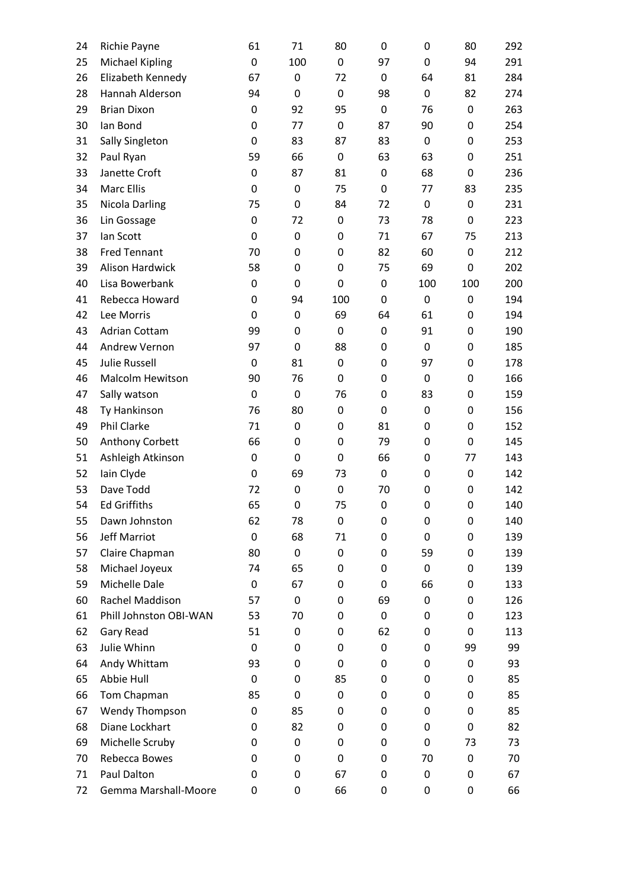| 24 | Richie Payne           | 61          | 71  | 80          | 0                | 0   | 80               | 292 |
|----|------------------------|-------------|-----|-------------|------------------|-----|------------------|-----|
| 25 | <b>Michael Kipling</b> | $\mathbf 0$ | 100 | $\mathbf 0$ | 97               | 0   | 94               | 291 |
| 26 | Elizabeth Kennedy      | 67          | 0   | 72          | 0                | 64  | 81               | 284 |
| 28 | Hannah Alderson        | 94          | 0   | $\mathbf 0$ | 98               | 0   | 82               | 274 |
| 29 | <b>Brian Dixon</b>     | 0           | 92  | 95          | 0                | 76  | 0                | 263 |
| 30 | lan Bond               | $\mathbf 0$ | 77  | $\mathbf 0$ | 87               | 90  | 0                | 254 |
| 31 | Sally Singleton        | 0           | 83  | 87          | 83               | 0   | 0                | 253 |
| 32 | Paul Ryan              | 59          | 66  | $\mathbf 0$ | 63               | 63  | 0                | 251 |
| 33 | Janette Croft          | 0           | 87  | 81          | 0                | 68  | 0                | 236 |
| 34 | <b>Marc Ellis</b>      | $\mathbf 0$ | 0   | 75          | 0                | 77  | 83               | 235 |
| 35 | <b>Nicola Darling</b>  | 75          | 0   | 84          | 72               | 0   | 0                | 231 |
| 36 | Lin Gossage            | $\mathbf 0$ | 72  | $\mathbf 0$ | 73               | 78  | $\mathbf 0$      | 223 |
| 37 | lan Scott              | 0           | 0   | 0           | 71               | 67  | 75               | 213 |
| 38 | <b>Fred Tennant</b>    | 70          | 0   | 0           | 82               | 60  | $\boldsymbol{0}$ | 212 |
| 39 | <b>Alison Hardwick</b> | 58          | 0   | $\mathbf 0$ | 75               | 69  | 0                | 202 |
| 40 | Lisa Bowerbank         | $\mathbf 0$ | 0   | $\mathbf 0$ | $\boldsymbol{0}$ | 100 | 100              | 200 |
| 41 | Rebecca Howard         | 0           | 94  | 100         | 0                | 0   | 0                | 194 |
| 42 | Lee Morris             | $\mathbf 0$ | 0   | 69          | 64               | 61  | 0                | 194 |
| 43 | <b>Adrian Cottam</b>   | 99          | 0   | 0           | 0                | 91  | 0                | 190 |
| 44 | <b>Andrew Vernon</b>   | 97          | 0   | 88          | 0                | 0   | 0                | 185 |
| 45 | <b>Julie Russell</b>   | 0           | 81  | $\mathbf 0$ | 0                | 97  | 0                | 178 |
| 46 | Malcolm Hewitson       | 90          | 76  | $\mathbf 0$ | 0                | 0   | 0                | 166 |
| 47 | Sally watson           | 0           | 0   | 76          | 0                | 83  | 0                | 159 |
| 48 | Ty Hankinson           | 76          | 80  | $\mathbf 0$ | 0                | 0   | 0                | 156 |
| 49 | Phil Clarke            | 71          | 0   | 0           | 81               | 0   | 0                | 152 |
| 50 | Anthony Corbett        | 66          | 0   | $\mathbf 0$ | 79               | 0   | 0                | 145 |
| 51 | Ashleigh Atkinson      | $\mathbf 0$ | 0   | $\mathbf 0$ | 66               | 0   | 77               | 143 |
| 52 | lain Clyde             | $\mathbf 0$ | 69  | 73          | $\mathbf 0$      | 0   | $\boldsymbol{0}$ | 142 |
| 53 | Dave Todd              | 72          | 0   | 0           | 70               | 0   | 0                | 142 |
| 54 | <b>Ed Griffiths</b>    | 65          | 0   | 75          | 0                | 0   | $\mathbf 0$      | 140 |
| 55 | Dawn Johnston          | 62          | 78  | 0           | 0                | 0   | 0                | 140 |
| 56 | <b>Jeff Marriot</b>    | $\mathbf 0$ | 68  | 71          | 0                | 0   | 0                | 139 |
| 57 | Claire Chapman         | 80          | 0   | 0           | 0                | 59  | 0                | 139 |
| 58 | Michael Joyeux         | 74          | 65  | $\pmb{0}$   | 0                | 0   | 0                | 139 |
| 59 | Michelle Dale          | 0           | 67  | 0           | 0                | 66  | 0                | 133 |
| 60 | Rachel Maddison        | 57          | 0   | 0           | 69               | 0   | 0                | 126 |
| 61 | Phill Johnston OBI-WAN | 53          | 70  | 0           | $\mathbf 0$      | 0   | 0                | 123 |
| 62 | Gary Read              | 51          | 0   | $\mathbf 0$ | 62               | 0   | 0                | 113 |
| 63 | Julie Whinn            | 0           | 0   | 0           | 0                | 0   | 99               | 99  |
| 64 | Andy Whittam           | 93          | 0   | $\mathbf 0$ | 0                | 0   | 0                | 93  |
| 65 | Abbie Hull             | 0           | 0   | 85          | 0                | 0   | 0                | 85  |
| 66 | Tom Chapman            | 85          | 0   | $\pmb{0}$   | 0                | 0   | 0                | 85  |
| 67 | Wendy Thompson         | 0           | 85  | 0           | 0                | 0   | 0                | 85  |
| 68 | Diane Lockhart         | 0           | 82  | 0           | 0                | 0   | 0                | 82  |
| 69 | Michelle Scruby        | 0           | 0   | 0           | 0                | 0   | 73               | 73  |
| 70 | Rebecca Bowes          | 0           | 0   | $\mathbf 0$ | 0                | 70  | 0                | 70  |
| 71 | Paul Dalton            | 0           | 0   | 67          | 0                | 0   | 0                | 67  |
| 72 | Gemma Marshall-Moore   | 0           | 0   | 66          | 0                | 0   | 0                | 66  |